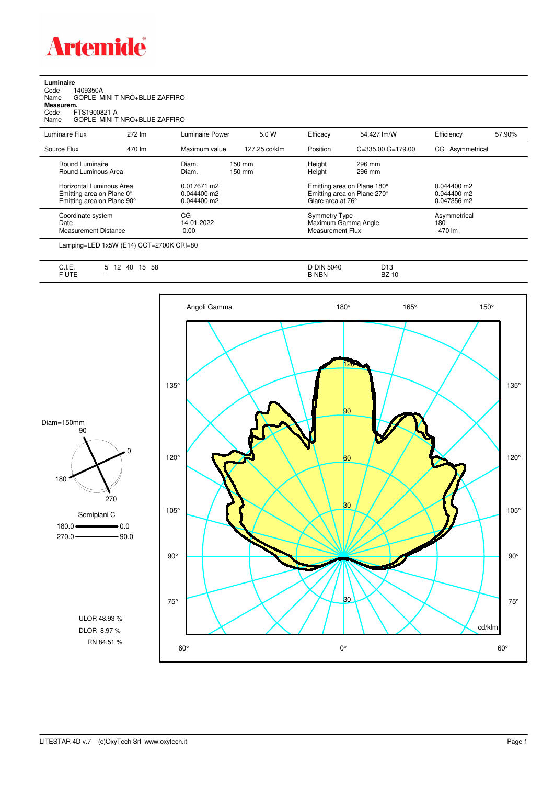

| Luminaire |          |
|-----------|----------|
| Code      | 1409350A |

| Name<br>Measurem.<br>FTS1900821-A<br>Code<br>Name                                   | GOPLE MINI T NRO+BLUE ZAFFIRO<br>GOPLE MINI T NRO+BLUE ZAFFIRO |                                           |                            |                                                                        |                                                            |                                             |        |
|-------------------------------------------------------------------------------------|----------------------------------------------------------------|-------------------------------------------|----------------------------|------------------------------------------------------------------------|------------------------------------------------------------|---------------------------------------------|--------|
| Luminaire Flux                                                                      | 272 lm                                                         | Luminaire Power                           | 5.0 W                      | Efficacy                                                               | 54.427 lm/W                                                | Efficiency                                  | 57.90% |
| Source Flux                                                                         | 470 lm                                                         | Maximum value                             | 127.25 cd/klm              | Position                                                               | $C = 335.00$ $G = 179.00$                                  | CG Asymmetrical                             |        |
| Round Luminaire<br>Round Luminous Area                                              |                                                                | Diam.<br>Diam.                            | $150 \text{ mm}$<br>150 mm | Height<br>Height                                                       | 296 mm<br>296 mm                                           |                                             |        |
| Horizontal Luminous Area<br>Emitting area on Plane 0°<br>Emitting area on Plane 90° |                                                                | 0.017671 m2<br>0.044400 m2<br>0.044400 m2 |                            | Glare area at 76°                                                      | Emitting area on Plane 180°<br>Emitting area on Plane 270° | $0.044400$ m2<br>0.044400 m2<br>0.047356 m2 |        |
| Coordinate system<br>Date<br><b>Measurement Distance</b>                            |                                                                | CG<br>14-01-2022<br>0.00                  |                            | <b>Symmetry Type</b><br>Maximum Gamma Angle<br><b>Measurement Flux</b> |                                                            | Asymmetrical<br>180<br>470 lm               |        |